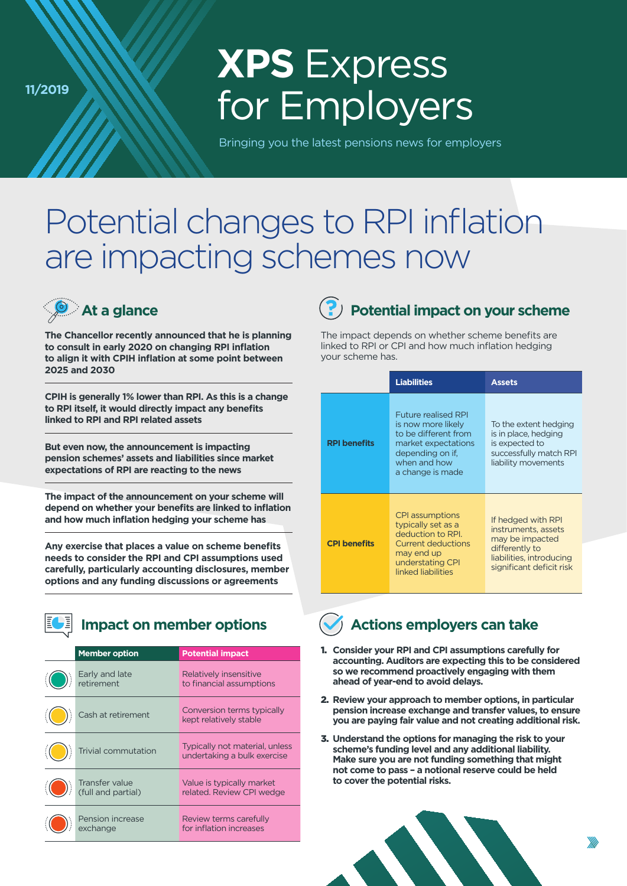**11/2019**

# **XPS** Express for Employers

Bringing you the latest pensions news for employers

# Potential changes to RPI inflation are impacting schemes now



**The Chancellor recently announced that he is planning to consult in early 2020 on changing RPI inflation to align it with CPIH inflation at some point between 2025 and 2030** 

**CPIH is generally 1% lower than RPI. As this is a change to RPI itself, it would directly impact any benefits linked to RPI and RPI related assets**

**But even now, the announcement is impacting pension schemes' assets and liabilities since market expectations of RPI are reacting to the news**

**The impact of the announcement on your scheme will depend on whether your benefits are linked to inflation and how much inflation hedging your scheme has**

**Any exercise that places a value on scheme benefits needs to consider the RPI and CPI assumptions used carefully, particularly accounting disclosures, member options and any funding discussions or agreements**

| <b>Member option</b>                 | <b>Potential impact</b>                                       |
|--------------------------------------|---------------------------------------------------------------|
| Early and late<br>retirement         | Relatively insensitive<br>to financial assumptions            |
| Cash at retirement                   | Conversion terms typically<br>kept relatively stable          |
| Trivial commutation                  | Typically not material, unless<br>undertaking a bulk exercise |
| Transfer value<br>(full and partial) | Value is typically market<br>related. Review CPI wedge        |
| Pension increase<br>exchange         | Review terms carefully<br>for inflation increases             |

### **EXECUTE: At a glance Potential impact on your scheme**

The impact depends on whether scheme benefits are linked to RPI or CPI and how much inflation hedging your scheme has.

|  |                     | <b>Liabilities</b>                                                                                                                                      | <b>Assets</b>                                                                                                                          |
|--|---------------------|---------------------------------------------------------------------------------------------------------------------------------------------------------|----------------------------------------------------------------------------------------------------------------------------------------|
|  | <b>RPI benefits</b> | <b>Future realised RPI</b><br>is now more likely<br>to be different from<br>market expectations<br>depending on if,<br>when and how<br>a change is made | To the extent hedging<br>is in place, hedging<br>is expected to<br>successfully match RPI<br>liability movements                       |
|  | <b>CPI benefits</b> | CPI assumptions<br>typically set as a<br>deduction to RPI.<br>Current deductions<br>may end up<br>understating CPI<br>linked liabilities                | If hedged with RPI<br>instruments, assets<br>may be impacted<br>differently to<br>liabilities, introducing<br>significant deficit risk |

### **Impact on member options**  $\left(\sqrt{\right)}$  Actions employers can take

- 1. **Consider your RPI and CPI assumptions carefully for accounting. Auditors are expecting this to be considered so we recommend proactively engaging with them ahead of year-end to avoid delays.**
- 2. **Review your approach to member options, in particular pension increase exchange and transfer values, to ensure you are paying fair value and not creating additional risk.**
- 3. **Understand the options for managing the risk to your scheme's funding level and any additional liability. Make sure you are not funding something that might not come to pass – a notional reserve could be held to cover the potential risks.**